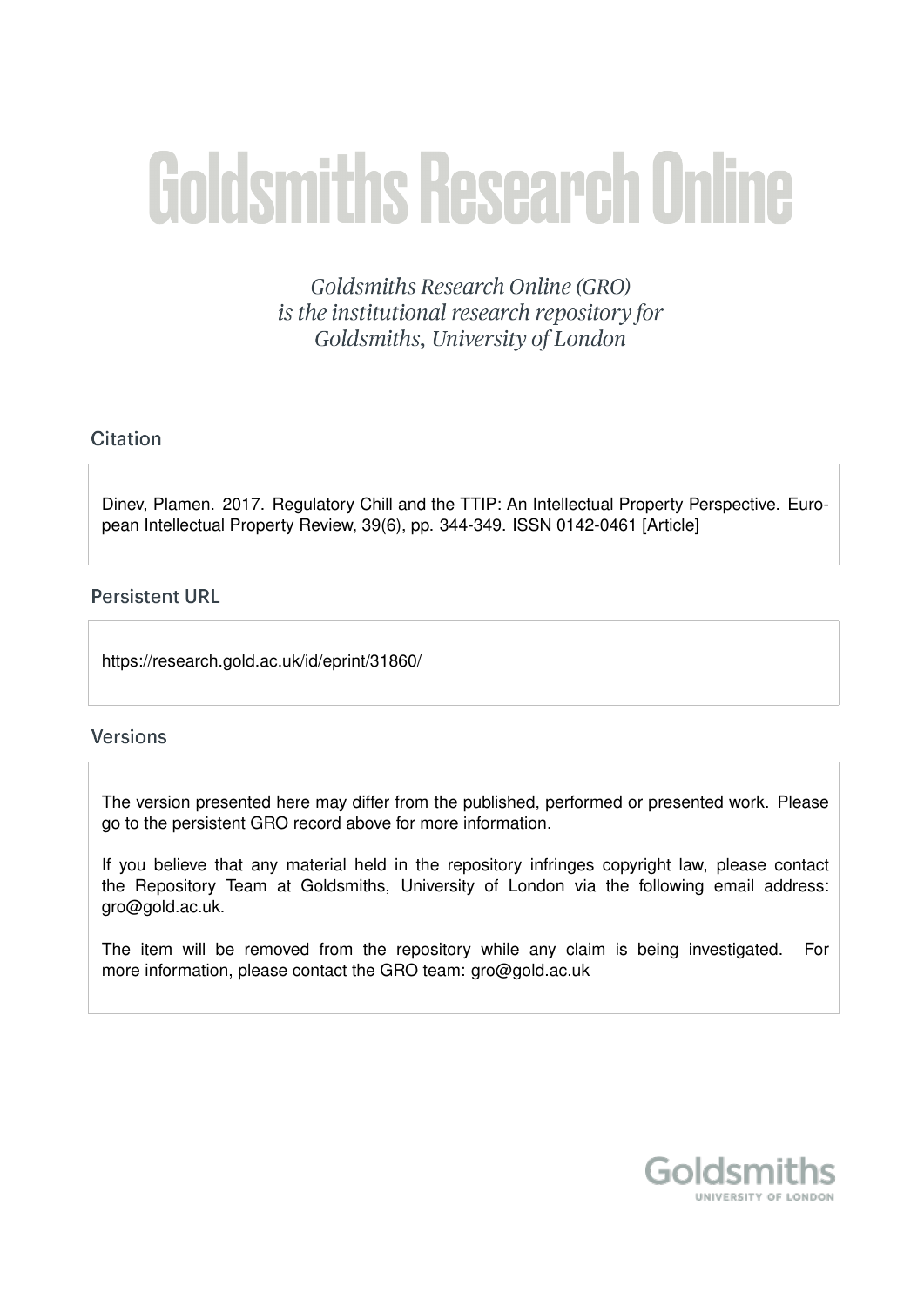# **Goldsmiths Research Online**

Goldsmiths Research Online (GRO) is the institutional research repository for Goldsmiths, University of London

## Citation

Dinev, Plamen. 2017. Regulatory Chill and the TTIP: An Intellectual Property Perspective. European Intellectual Property Review, 39(6), pp. 344-349. ISSN 0142-0461 [Article]

### **Persistent URL**

https://research.gold.ac.uk/id/eprint/31860/

#### **Versions**

The version presented here may differ from the published, performed or presented work. Please go to the persistent GRO record above for more information.

If you believe that any material held in the repository infringes copyright law, please contact the Repository Team at Goldsmiths, University of London via the following email address: gro@gold.ac.uk.

The item will be removed from the repository while any claim is being investigated. For more information, please contact the GRO team: gro@gold.ac.uk

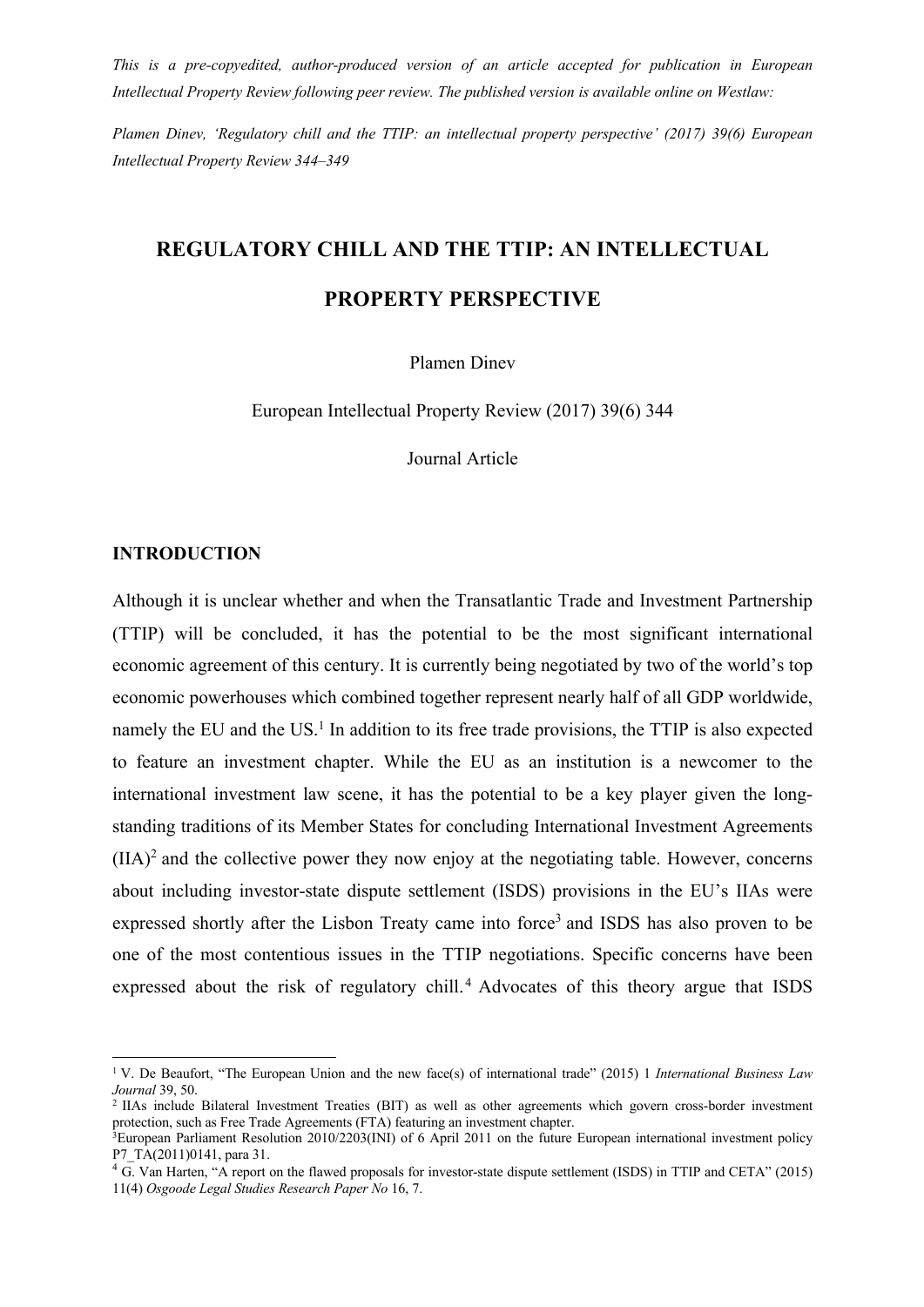*This is a pre-copyedited, author-produced version of an article accepted for publication in European Intellectual Property Review following peer review. The published version is available online on Westlaw:*

*Plamen Dinev, 'Regulatory chill and the TTIP: an intellectual property perspective' (2017) 39(6) European Intellectual Property Review 344–349*

# **REGULATORY CHILL AND THE TTIP: AN INTELLECTUAL**

# **PROPERTY PERSPECTIVE**

Plamen Dinev

European Intellectual Property Review (2017) 39(6) 344

Journal Article

#### **INTRODUCTION**

Although it is unclear whether and when the Transatlantic Trade and Investment Partnership (TTIP) will be concluded, it has the potential to be the most significant international economic agreement of this century. It is currently being negotiated by two of the world's top economic powerhouses which combined together represent nearly half of all GDP worldwide, namely the EU and the US. $<sup>1</sup>$  In addition to its free trade provisions, the TTIP is also expected</sup> to feature an investment chapter. While the EU as an institution is a newcomer to the international investment law scene, it has the potential to be a key player given the longstanding traditions of its Member States for concluding International Investment Agreements  $(IIA)^2$  and the collective power they now enjoy at the negotiating table. However, concerns about including investor-state dispute settlement (ISDS) provisions in the EU's IIAs were expressed shortly after the Lisbon Treaty came into force<sup>3</sup> and ISDS has also proven to be one of the most contentious issues in the TTIP negotiations. Specific concerns have been expressed about the risk of regulatory chill.<sup>4</sup> Advocates of this theory argue that ISDS

<sup>1</sup> V. De Beaufort, "The European Union and the new face(s) of international trade" (2015) 1 *International Business Law Journal* 39, 50.

<sup>2</sup> IIAs include Bilateral Investment Treaties (BIT) as well as other agreements which govern cross-border investment protection, such as Free Trade Agreements (FTA) featuring an investment chapter.

<sup>3</sup>European Parliament Resolution 2010/2203(INI) of 6 April 2011 on the future European international investment policy P7 TA(2011)0141, para 31.

 $4\overline{\text{G}}$ . Van Harten, "A report on the flawed proposals for investor-state dispute settlement (ISDS) in TTIP and CETA" (2015) 11(4) *Osgoode Legal Studies Research Paper No* 16, 7.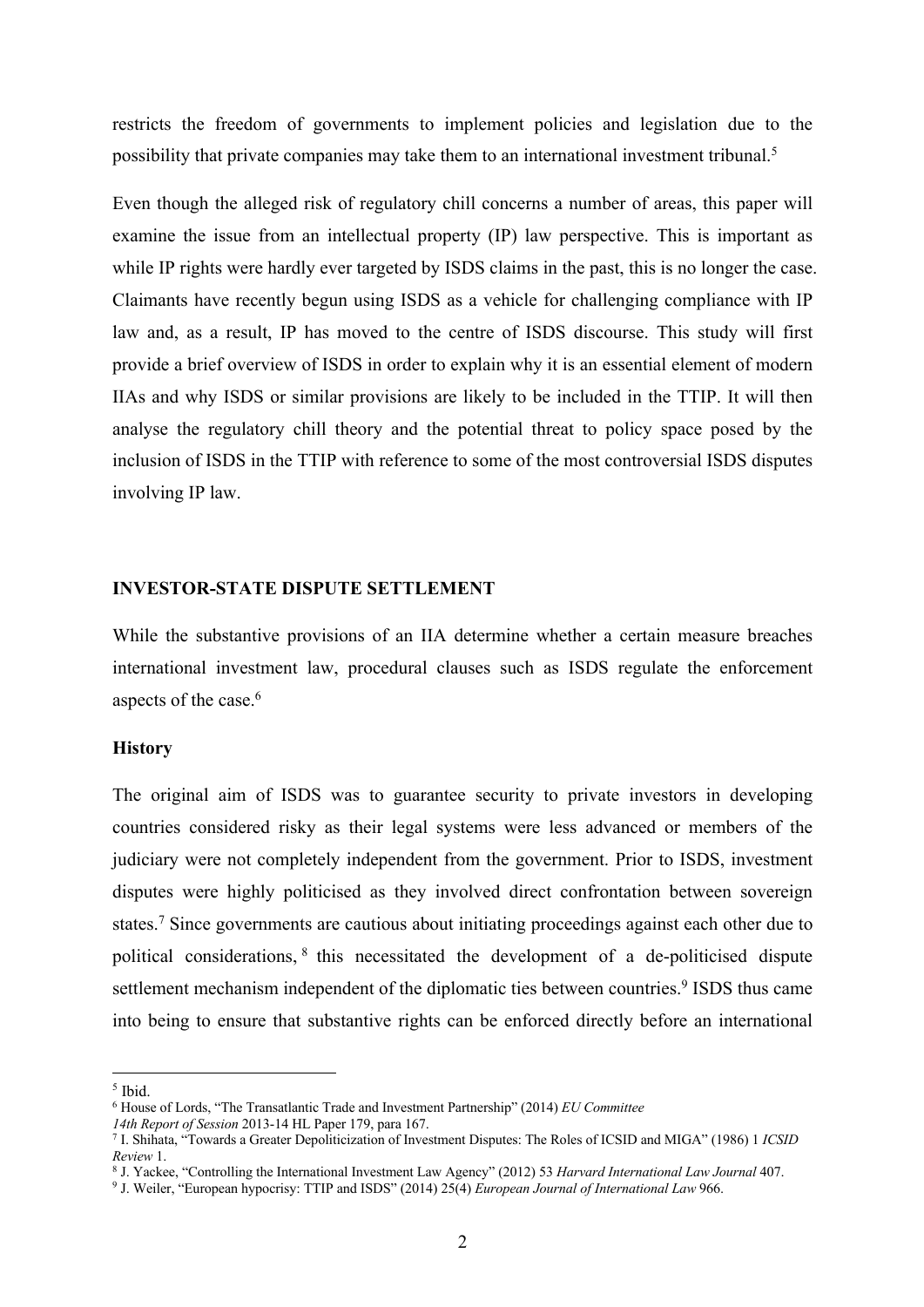restricts the freedom of governments to implement policies and legislation due to the possibility that private companies may take them to an international investment tribunal.5

Even though the alleged risk of regulatory chill concerns a number of areas, this paper will examine the issue from an intellectual property (IP) law perspective. This is important as while IP rights were hardly ever targeted by ISDS claims in the past, this is no longer the case. Claimants have recently begun using ISDS as a vehicle for challenging compliance with IP law and, as a result, IP has moved to the centre of ISDS discourse. This study will first provide a brief overview of ISDS in order to explain why it is an essential element of modern IIAs and why ISDS or similar provisions are likely to be included in the TTIP. It will then analyse the regulatory chill theory and the potential threat to policy space posed by the inclusion of ISDS in the TTIP with reference to some of the most controversial ISDS disputes involving IP law.

#### **INVESTOR-STATE DISPUTE SETTLEMENT**

While the substantive provisions of an IIA determine whether a certain measure breaches international investment law, procedural clauses such as ISDS regulate the enforcement aspects of the case. 6

#### **History**

The original aim of ISDS was to guarantee security to private investors in developing countries considered risky as their legal systems were less advanced or members of the judiciary were not completely independent from the government. Prior to ISDS, investment disputes were highly politicised as they involved direct confrontation between sovereign states.7 Since governments are cautious about initiating proceedings against each other due to political considerations, <sup>8</sup> this necessitated the development of a de-politicised dispute settlement mechanism independent of the diplomatic ties between countries.<sup>9</sup> ISDS thus came into being to ensure that substantive rights can be enforced directly before an international

<sup>5</sup> Ibid.

<sup>6</sup> House of Lords, "The Transatlantic Trade and Investment Partnership" (2014) *EU Committee*

*<sup>14</sup>th Report of Session* 2013-14 HL Paper 179, para 167.

<sup>7</sup> I. Shihata, "Towards a Greater Depoliticization of Investment Disputes: The Roles of ICSID and MIGA" (1986) 1 *ICSID Review* 1.

<sup>8</sup> J. Yackee, "Controlling the International Investment Law Agency" (2012) 53 *Harvard International Law Journal* 407.

<sup>9</sup> J. Weiler, "European hypocrisy: TTIP and ISDS" (2014) 25(4) *European Journal of International Law* 966.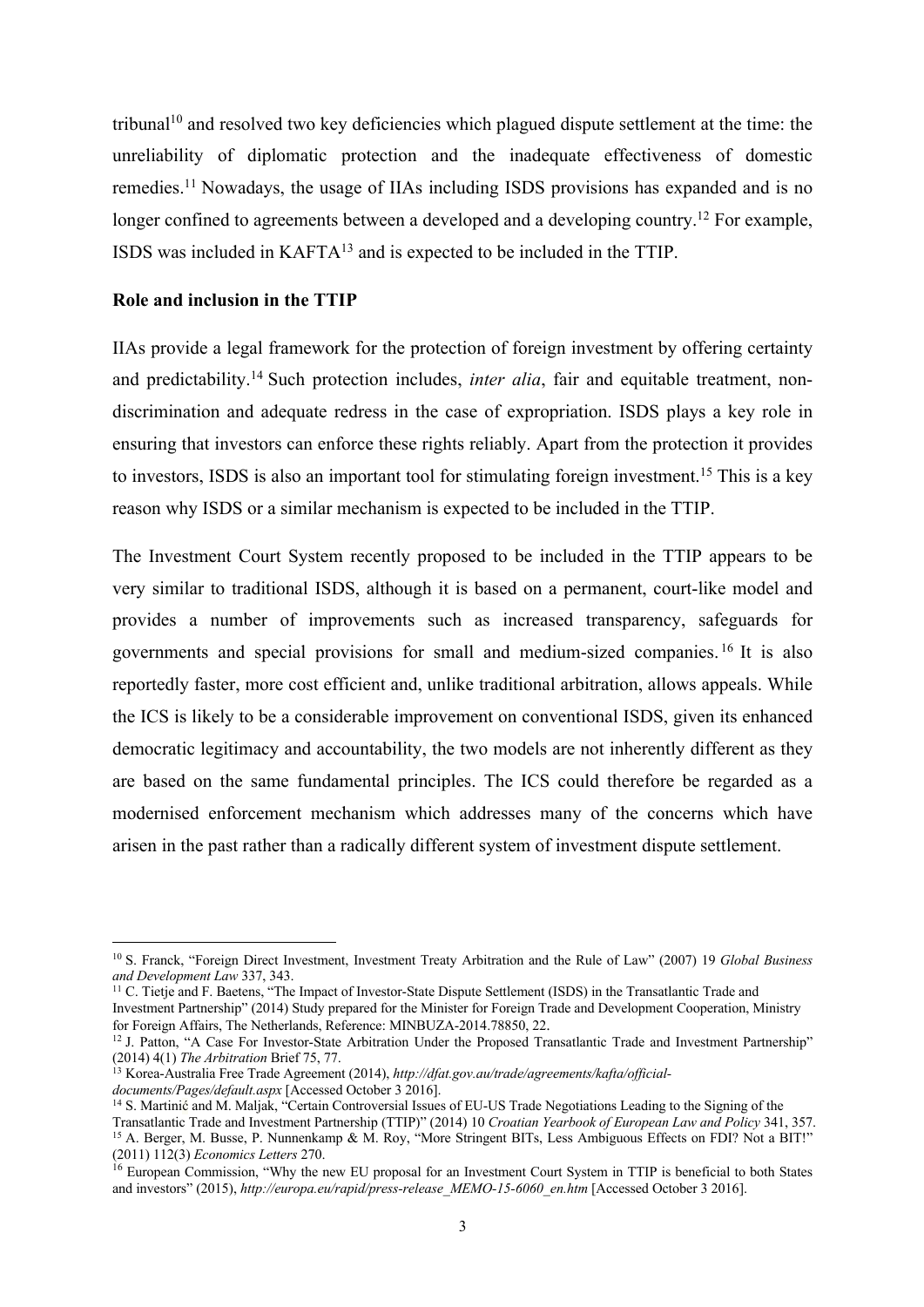tribunal10 and resolved two key deficiencies which plagued dispute settlement at the time: the unreliability of diplomatic protection and the inadequate effectiveness of domestic remedies.11 Nowadays, the usage of IIAs including ISDS provisions has expanded and is no longer confined to agreements between a developed and a developing country.<sup>12</sup> For example, ISDS was included in KAFTA13 and is expected to be included in the TTIP.

#### **Role and inclusion in the TTIP**

IIAs provide a legal framework for the protection of foreign investment by offering certainty and predictability. <sup>14</sup> Such protection includes, *inter alia*, fair and equitable treatment, nondiscrimination and adequate redress in the case of expropriation. ISDS plays a key role in ensuring that investors can enforce these rights reliably. Apart from the protection it provides to investors, ISDS is also an important tool for stimulating foreign investment. <sup>15</sup> This is a key reason why ISDS or a similar mechanism is expected to be included in the TTIP.

The Investment Court System recently proposed to be included in the TTIP appears to be very similar to traditional ISDS, although it is based on a permanent, court-like model and provides a number of improvements such as increased transparency, safeguards for governments and special provisions for small and medium-sized companies. <sup>16</sup> It is also reportedly faster, more cost efficient and, unlike traditional arbitration, allows appeals. While the ICS is likely to be a considerable improvement on conventional ISDS, given its enhanced democratic legitimacy and accountability, the two models are not inherently different as they are based on the same fundamental principles. The ICS could therefore be regarded as a modernised enforcement mechanism which addresses many of the concerns which have arisen in the past rather than a radically different system of investment dispute settlement.

<sup>11</sup> C. Tietje and F. Baetens, "The Impact of Investor-State Dispute Settlement (ISDS) in the Transatlantic Trade and Investment Partnership" (2014) Study prepared for the Minister for Foreign Trade and Development Cooperation, Ministry for Foreign Affairs, The Netherlands, Reference: MINBUZA-2014.78850, 22.

<sup>10</sup> S. Franck, "Foreign Direct Investment, Investment Treaty Arbitration and the Rule of Law" (2007) 19 *Global Business and Development Law* 337, 343.

<sup>&</sup>lt;sup>12</sup> J. Patton, "A Case For Investor-State Arbitration Under the Proposed Transatlantic Trade and Investment Partnership" (2014) 4(1) *The Arbitration* Brief 75, 77.

<sup>13</sup> Korea-Australia Free Trade Agreement (2014), *http://dfat.gov.au/trade/agreements/kafta/officialdocuments/Pages/default.aspx* [Accessed October 3 2016].

<sup>&</sup>lt;sup>14</sup> S. Martinić and M. Maljak, "Certain Controversial Issues of EU-US Trade Negotiations Leading to the Signing of the Transatlantic Trade and Investment Partnership (TTIP)" (2014) 10 *Croatian Yearbook of European Law and Policy* 341, 357. <sup>15</sup> A. Berger, M. Busse, P. Nunnenkamp & M. Roy, "More Stringent BITs, Less Ambiguous Effects on FDI? Not a BIT!" (2011) 112(3) *Economics Letters* 270.

<sup>&</sup>lt;sup>16</sup> European Commission, "Why the new EU proposal for an Investment Court System in TTIP is beneficial to both States and investors" (2015), *http://europa.eu/rapid/press-release\_MEMO-15-6060\_en.htm* [Accessed October 3 2016].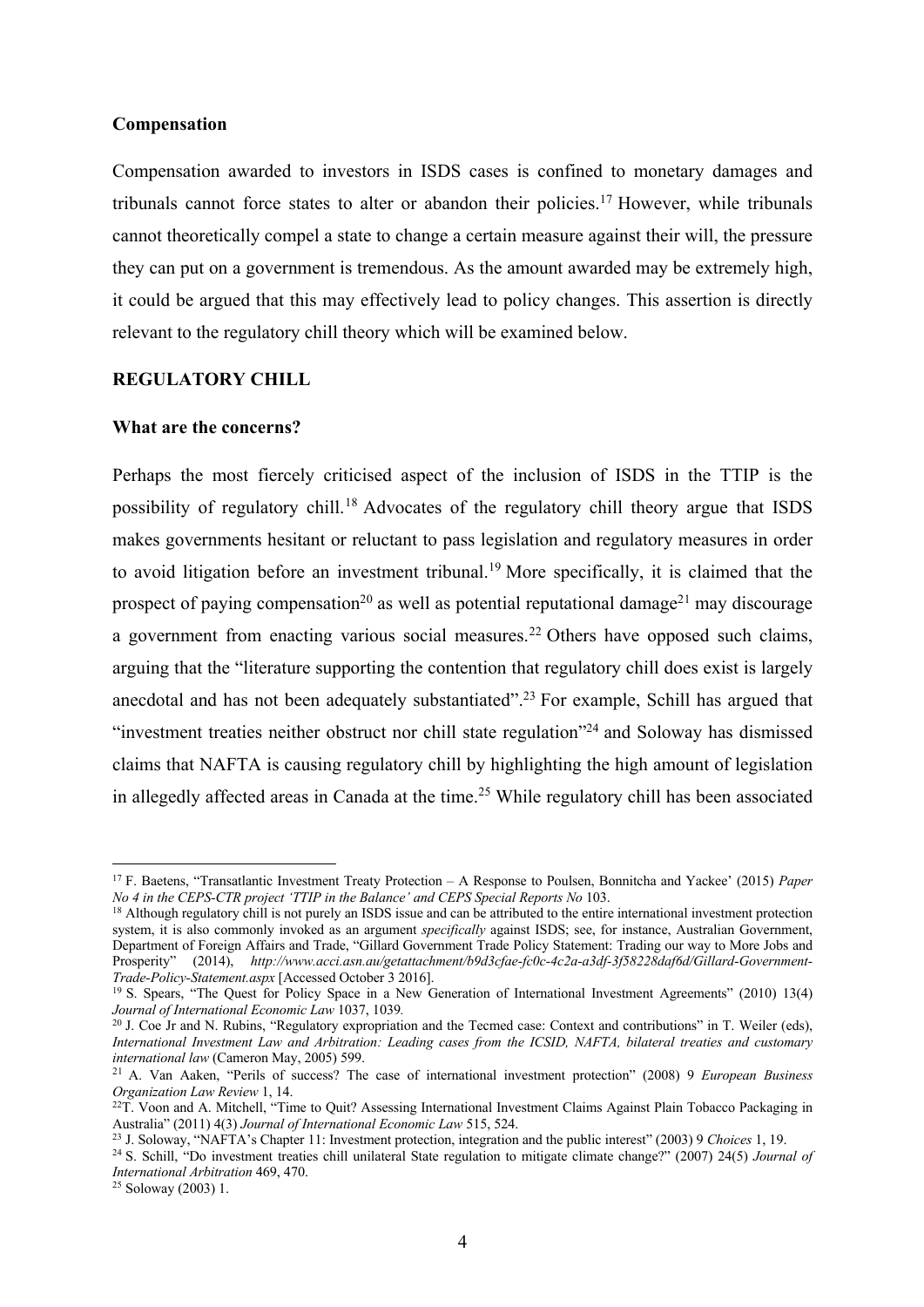#### **Compensation**

Compensation awarded to investors in ISDS cases is confined to monetary damages and tribunals cannot force states to alter or abandon their policies.17 However, while tribunals cannot theoretically compel a state to change a certain measure against their will, the pressure they can put on a government is tremendous. As the amount awarded may be extremely high, it could be argued that this may effectively lead to policy changes. This assertion is directly relevant to the regulatory chill theory which will be examined below.

#### **REGULATORY CHILL**

#### **What are the concerns?**

Perhaps the most fiercely criticised aspect of the inclusion of ISDS in the TTIP is the possibility of regulatory chill.18 Advocates of the regulatory chill theory argue that ISDS makes governments hesitant or reluctant to pass legislation and regulatory measures in order to avoid litigation before an investment tribunal.19 More specifically, it is claimed that the prospect of paying compensation<sup>20</sup> as well as potential reputational damage<sup>21</sup> may discourage a government from enacting various social measures.<sup>22</sup> Others have opposed such claims, arguing that the "literature supporting the contention that regulatory chill does exist is largely anecdotal and has not been adequately substantiated".<sup>23</sup> For example, Schill has argued that "investment treaties neither obstruct nor chill state regulation"24 and Soloway has dismissed claims that NAFTA is causing regulatory chill by highlighting the high amount of legislation in allegedly affected areas in Canada at the time.<sup>25</sup> While regulatory chill has been associated

 $25$  Soloway (2003) 1.

<sup>17</sup> F. Baetens, "Transatlantic Investment Treaty Protection – A Response to Poulsen, Bonnitcha and Yackee' (2015) *Paper No 4 in the CEPS-CTR project 'TTIP in the Balance' and CEPS Special Reports No* 103.

<sup>&</sup>lt;sup>18</sup> Although regulatory chill is not purely an ISDS issue and can be attributed to the entire international investment protection system, it is also commonly invoked as an argument *specifically* against ISDS; see, for instance, Australian Government, Department of Foreign Affairs and Trade, "Gillard Government Trade Policy Statement: Trading our way to More Jobs and Prosperity" (2014), *http://www.acci.asn.au/getattachment/b9d3cfae-fc0c-4c2a-a3df-3f58228daf6d/Gillard-Government-Trade-Policy-Statement.aspx* [Accessed October 3 2016].

<sup>19</sup> S. Spears, "The Quest for Policy Space in a New Generation of International Investment Agreements" (2010) 13(4) *Journal of International Economic Law* 1037, 1039*.*

<sup>&</sup>lt;sup>20</sup> J. Coe Jr and N. Rubins, "Regulatory expropriation and the Tecmed case: Context and contributions" in T. Weiler (eds), *International Investment Law and Arbitration: Leading cases from the ICSID, NAFTA, bilateral treaties and customary international law* (Cameron May, 2005) 599.

<sup>21</sup> A. Van Aaken, "Perils of success? The case of international investment protection" (2008) 9 *European Business Organization Law Review* 1, 14.

<sup>&</sup>lt;sup>22</sup>T. Voon and A. Mitchell, "Time to Quit? Assessing International Investment Claims Against Plain Tobacco Packaging in Australia" (2011) 4(3) *Journal of International Economic Law* 515, 524.

<sup>23</sup> J. Soloway, "NAFTA's Chapter 11: Investment protection, integration and the public interest" (2003) 9 *Choices* 1, 19.

<sup>24</sup> S. Schill, "Do investment treaties chill unilateral State regulation to mitigate climate change?" (2007) 24(5) *Journal of International Arbitration* 469, 470.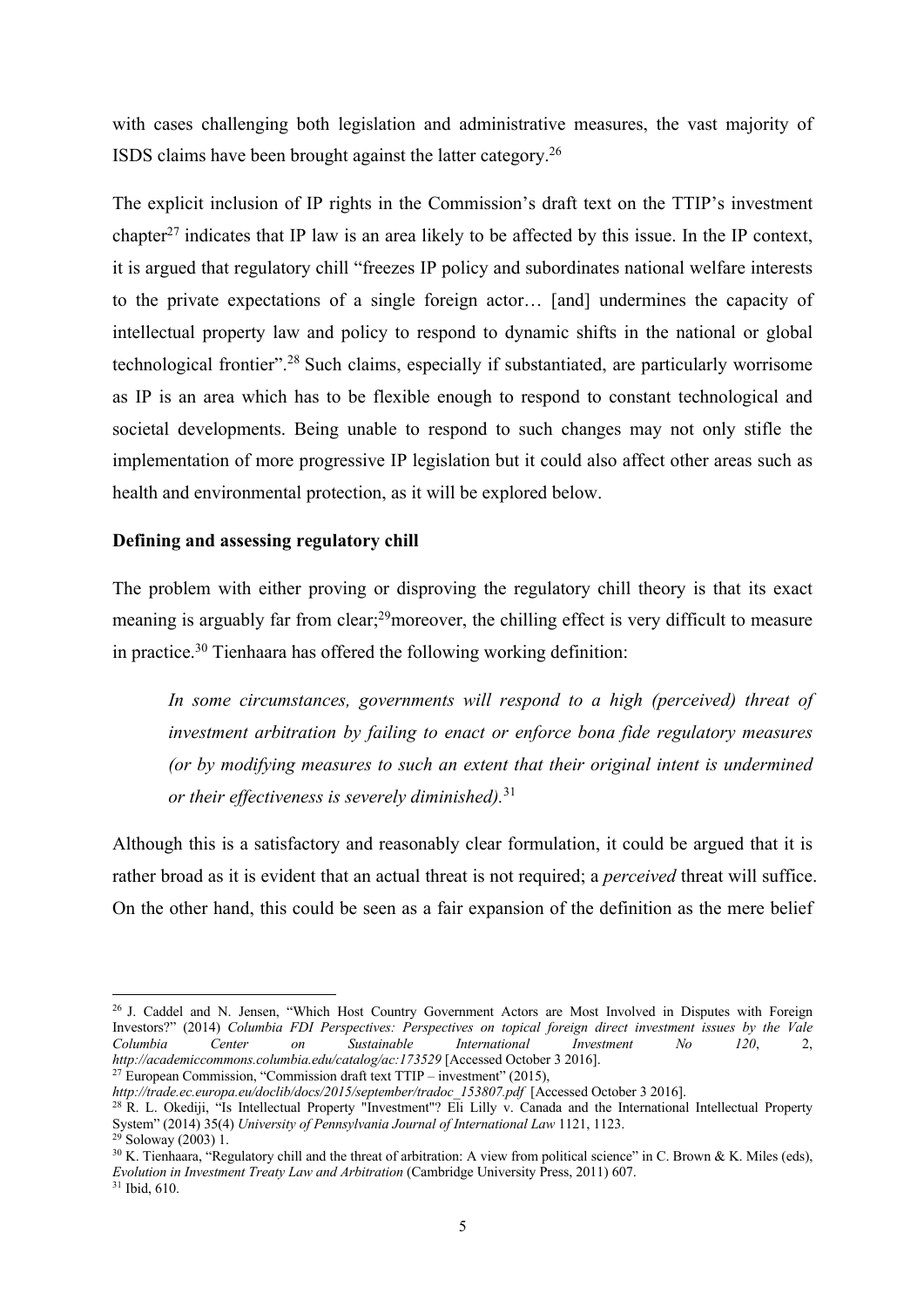with cases challenging both legislation and administrative measures, the vast majority of ISDS claims have been brought against the latter category.26

The explicit inclusion of IP rights in the Commission's draft text on the TTIP's investment chapter<sup>27</sup> indicates that IP law is an area likely to be affected by this issue. In the IP context, it is argued that regulatory chill "freezes IP policy and subordinates national welfare interests to the private expectations of a single foreign actor… [and] undermines the capacity of intellectual property law and policy to respond to dynamic shifts in the national or global technological frontier".28 Such claims, especially if substantiated, are particularly worrisome as IP is an area which has to be flexible enough to respond to constant technological and societal developments. Being unable to respond to such changes may not only stifle the implementation of more progressive IP legislation but it could also affect other areas such as health and environmental protection, as it will be explored below.

#### **Defining and assessing regulatory chill**

The problem with either proving or disproving the regulatory chill theory is that its exact meaning is arguably far from clear;<sup>29</sup>moreover, the chilling effect is very difficult to measure in practice.<sup>30</sup> Tienhaara has offered the following working definition:

In some circumstances, governments will respond to a high (perceived) threat of *investment arbitration by failing to enact or enforce bona fide regulatory measures (or by modifying measures to such an extent that their original intent is undermined or their effectiveness is severely diminished).* 31

Although this is a satisfactory and reasonably clear formulation, it could be argued that it is rather broad as it is evident that an actual threat is not required; a *perceived* threat will suffice. On the other hand, this could be seen as a fair expansion of the definition as the mere belief

*http://trade.ec.europa.eu/doclib/docs/2015/september/tradoc\_153807.pdf* [Accessed October 3 2016].

<sup>&</sup>lt;sup>26</sup> J. Caddel and N. Jensen, "Which Host Country Government Actors are Most Involved in Disputes with Foreign Investors?" (2014) *Columbia FDI Perspectives: Perspectives on topical foreign direct investment issues by the Vale Columbia Center on Sustainable International Investment No 120*, 2, *http://academiccommons.columbia.edu/catalog/ac:173529* [Accessed October 3 2016]. <sup>27</sup> European Commission, "Commission draft text TTIP – investment" (2015),

<sup>&</sup>lt;sup>28</sup> R. L. Okediji, "Is Intellectual Property "Investment"? Eli Lilly v. Canada and the International Intellectual Property System" (2014) 35(4) *University of Pennsylvania Journal of International Law* 1121, 1123. <sup>29</sup> Soloway (2003) 1.

<sup>&</sup>lt;sup>30</sup> K. Tienhaara, "Regulatory chill and the threat of arbitration: A view from political science" in C. Brown & K. Miles (eds), *Evolution in Investment Treaty Law and Arbitration* (Cambridge University Press, 2011) 607.

<sup>31</sup> Ibid, 610.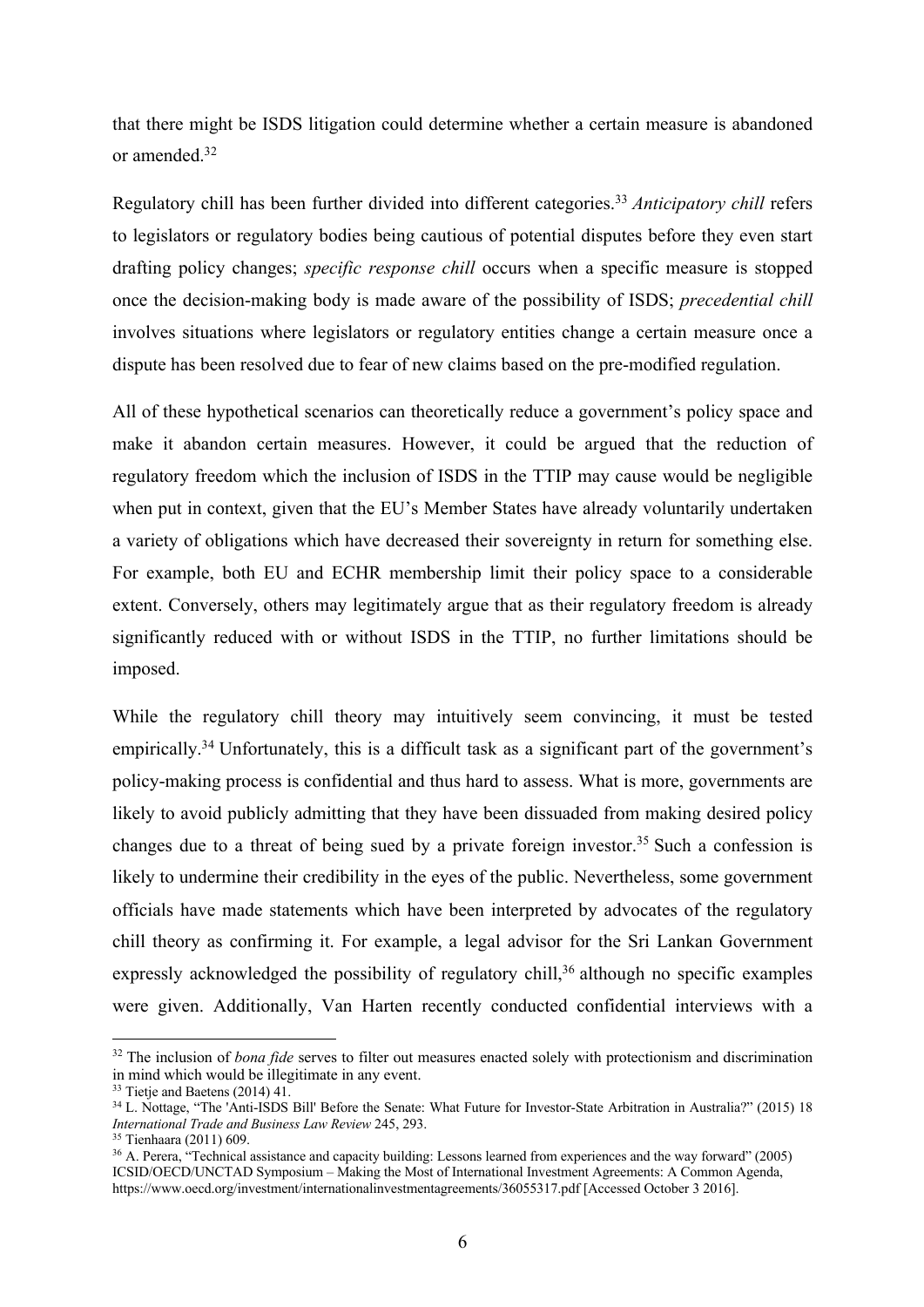that there might be ISDS litigation could determine whether a certain measure is abandoned or amended. 32

Regulatory chill has been further divided into different categories.33 *Anticipatory chill* refers to legislators or regulatory bodies being cautious of potential disputes before they even start drafting policy changes; *specific response chill* occurs when a specific measure is stopped once the decision-making body is made aware of the possibility of ISDS; *precedential chill*  involves situations where legislators or regulatory entities change a certain measure once a dispute has been resolved due to fear of new claims based on the pre-modified regulation.

All of these hypothetical scenarios can theoretically reduce a government's policy space and make it abandon certain measures. However, it could be argued that the reduction of regulatory freedom which the inclusion of ISDS in the TTIP may cause would be negligible when put in context, given that the EU's Member States have already voluntarily undertaken a variety of obligations which have decreased their sovereignty in return for something else. For example, both EU and ECHR membership limit their policy space to a considerable extent. Conversely, others may legitimately argue that as their regulatory freedom is already significantly reduced with or without ISDS in the TTIP, no further limitations should be imposed.

While the regulatory chill theory may intuitively seem convincing, it must be tested empirically.<sup>34</sup> Unfortunately, this is a difficult task as a significant part of the government's policy-making process is confidential and thus hard to assess. What is more, governments are likely to avoid publicly admitting that they have been dissuaded from making desired policy changes due to a threat of being sued by a private foreign investor.35 Such a confession is likely to undermine their credibility in the eyes of the public. Nevertheless, some government officials have made statements which have been interpreted by advocates of the regulatory chill theory as confirming it. For example, a legal advisor for the Sri Lankan Government expressly acknowledged the possibility of regulatory chill, $36$  although no specific examples were given. Additionally, Van Harten recently conducted confidential interviews with a

<sup>&</sup>lt;sup>32</sup> The inclusion of *bona fide* serves to filter out measures enacted solely with protectionism and discrimination in mind which would be illegitimate in any event.

<sup>&</sup>lt;sup>33</sup> Tietje and Baetens (2014) 41.

<sup>34</sup> L. Nottage, "The 'Anti-ISDS Bill' Before the Senate: What Future for Investor-State Arbitration in Australia?" (2015) 18 *International Trade and Business Law Review* 245, 293.

<sup>35</sup> Tienhaara (2011) 609.

<sup>&</sup>lt;sup>36</sup> A. Perera, "Technical assistance and capacity building: Lessons learned from experiences and the way forward" (2005) ICSID/OECD/UNCTAD Symposium – Making the Most of International Investment Agreements: A Common Agenda, https://www.oecd.org/investment/internationalinvestmentagreements/36055317.pdf [Accessed October 3 2016].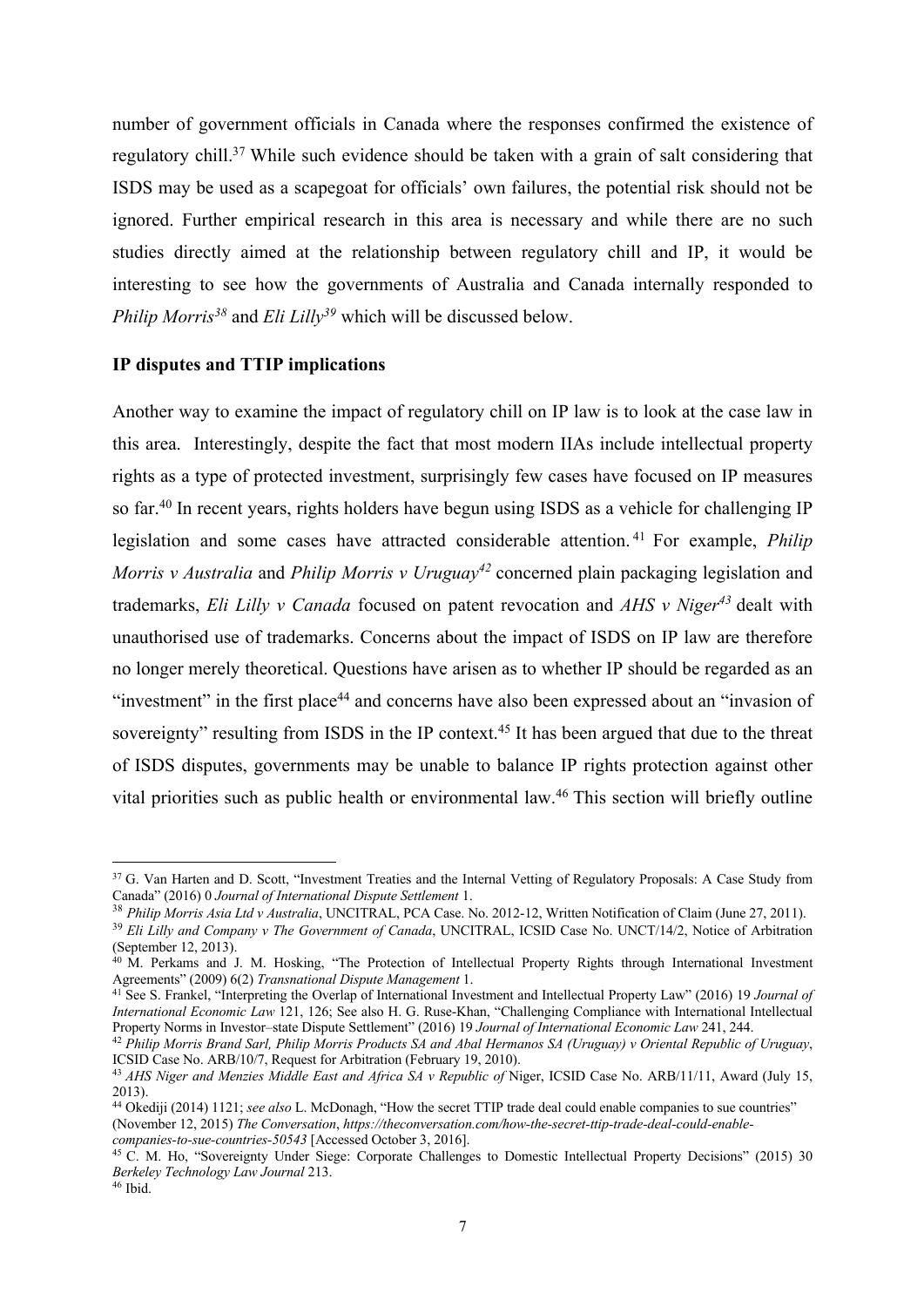number of government officials in Canada where the responses confirmed the existence of regulatory chill.37 While such evidence should be taken with a grain of salt considering that ISDS may be used as a scapegoat for officials' own failures, the potential risk should not be ignored. Further empirical research in this area is necessary and while there are no such studies directly aimed at the relationship between regulatory chill and IP, it would be interesting to see how the governments of Australia and Canada internally responded to *Philip Morris38* and *Eli Lilly39* which will be discussed below.

#### **IP disputes and TTIP implications**

Another way to examine the impact of regulatory chill on IP law is to look at the case law in this area. Interestingly, despite the fact that most modern IIAs include intellectual property rights as a type of protected investment, surprisingly few cases have focused on IP measures so far.<sup>40</sup> In recent years, rights holders have begun using ISDS as a vehicle for challenging IP legislation and some cases have attracted considerable attention. <sup>41</sup> For example, *Philip Morris v Australia* and *Philip Morris v Uruguav<sup>42</sup>* concerned plain packaging legislation and trademarks, *Eli Lilly v Canada* focused on patent revocation and *AHS v Niger43* dealt with unauthorised use of trademarks. Concerns about the impact of ISDS on IP law are therefore no longer merely theoretical. Questions have arisen as to whether IP should be regarded as an "investment" in the first place<sup>44</sup> and concerns have also been expressed about an "invasion of sovereignty" resulting from ISDS in the IP context.<sup>45</sup> It has been argued that due to the threat of ISDS disputes, governments may be unable to balance IP rights protection against other vital priorities such as public health or environmental law.<sup>46</sup> This section will briefly outline

<sup>&</sup>lt;sup>37</sup> G. Van Harten and D. Scott, "Investment Treaties and the Internal Vetting of Regulatory Proposals: A Case Study from Canada" (2016) 0 *Journal of International Dispute Settlement* 1.

<sup>38</sup> *Philip Morris Asia Ltd v Australia*, UNCITRAL, PCA Case. No. 2012-12, Written Notification of Claim (June 27, 2011).

<sup>&</sup>lt;sup>39</sup> Eli Lilly and Company v The Government of Canada, UNCITRAL, ICSID Case No. UNCT/14/2, Notice of Arbitration (September 12, 2013).

<sup>40</sup> M. Perkams and J. M. Hosking, "The Protection of Intellectual Property Rights through International Investment Agreements" (2009) 6(2) *Transnational Dispute Management* 1.

<sup>&</sup>lt;sup>41</sup> See S. Frankel, "Interpreting the Overlap of International Investment and Intellectual Property Law" (2016) 19 *Journal of International Economic Law* 121, 126; See also H. G. Ruse-Khan, "Challenging Compliance with International Intellectual Property Norms in Investor–state Dispute Settlement" (2016) 19 *Journal of International Economic Law* 241, 244.

<sup>42</sup> *Philip Morris Brand Sarl, Philip Morris Products SA and Abal Hermanos SA (Uruguay) v Oriental Republic of Uruguay*, ICSID Case No. ARB/10/7, Request for Arbitration (February 19, 2010).

<sup>43</sup> *AHS Niger and Menzies Middle East and Africa SA v Republic of* Niger, ICSID Case No. ARB/11/11, Award (July 15, 2013).

<sup>44</sup> Okediji (2014) 1121; *see also* L. McDonagh, "How the secret TTIP trade deal could enable companies to sue countries" (November 12, 2015) *The Conversation*, *https://theconversation.com/how-the-secret-ttip-trade-deal-could-enablecompanies-to-sue-countries-50543* [Accessed October 3, 2016].

<sup>&</sup>lt;sup>45</sup> C. M. Ho, "Sovereignty Under Siege: Corporate Challenges to Domestic Intellectual Property Decisions" (2015) 30 *Berkeley Technology Law Journal* 213. <sup>46</sup> Ibid.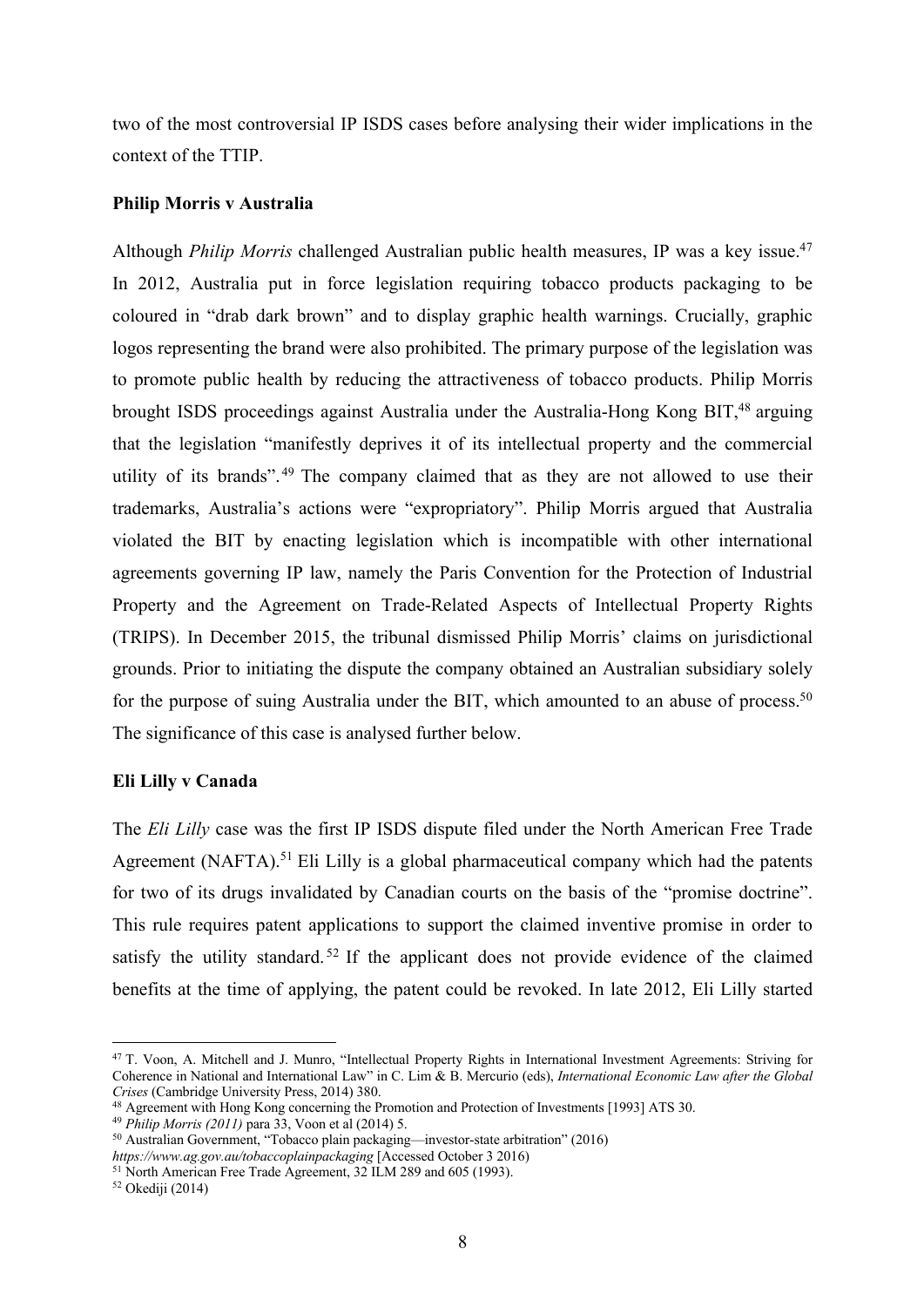two of the most controversial IP ISDS cases before analysing their wider implications in the context of the TTIP.

#### **Philip Morris v Australia**

Although *Philip Morris* challenged Australian public health measures, IP was a key issue.<sup>47</sup> In 2012, Australia put in force legislation requiring tobacco products packaging to be coloured in "drab dark brown" and to display graphic health warnings. Crucially, graphic logos representing the brand were also prohibited. The primary purpose of the legislation was to promote public health by reducing the attractiveness of tobacco products. Philip Morris brought ISDS proceedings against Australia under the Australia-Hong Kong BIT,<sup>48</sup> arguing that the legislation "manifestly deprives it of its intellectual property and the commercial utility of its brands". <sup>49</sup> The company claimed that as they are not allowed to use their trademarks, Australia's actions were "expropriatory". Philip Morris argued that Australia violated the BIT by enacting legislation which is incompatible with other international agreements governing IP law, namely the Paris Convention for the Protection of Industrial Property and the Agreement on Trade-Related Aspects of Intellectual Property Rights (TRIPS). In December 2015, the tribunal dismissed Philip Morris' claims on jurisdictional grounds. Prior to initiating the dispute the company obtained an Australian subsidiary solely for the purpose of suing Australia under the BIT, which amounted to an abuse of process.<sup>50</sup> The significance of this case is analysed further below.

#### **Eli Lilly v Canada**

The *Eli Lilly* case was the first IP ISDS dispute filed under the North American Free Trade Agreement (NAFTA).<sup>51</sup> Eli Lilly is a global pharmaceutical company which had the patents for two of its drugs invalidated by Canadian courts on the basis of the "promise doctrine". This rule requires patent applications to support the claimed inventive promise in order to satisfy the utility standard.<sup>52</sup> If the applicant does not provide evidence of the claimed benefits at the time of applying, the patent could be revoked. In late 2012, Eli Lilly started

<sup>47</sup> T. Voon, A. Mitchell and J. Munro, "Intellectual Property Rights in International Investment Agreements: Striving for Coherence in National and International Law" in C. Lim & B. Mercurio (eds), *International Economic Law after the Global Crises* (Cambridge University Press, 2014) 380.

<sup>48</sup> Agreement with Hong Kong concerning the Promotion and Protection of Investments [1993] ATS 30.

<sup>49</sup> *Philip Morris (2011)* para 33, Voon et al (2014) 5.

<sup>50</sup> Australian Government, "Tobacco plain packaging—investor-state arbitration" (2016)

*https://www.ag.gov.au/tobaccoplainpackaging* [Accessed October 3 2016) <sup>51</sup> North American Free Trade Agreement,  $32$  ILM 289 and 605 (1993).

<sup>52</sup> Okediji (2014)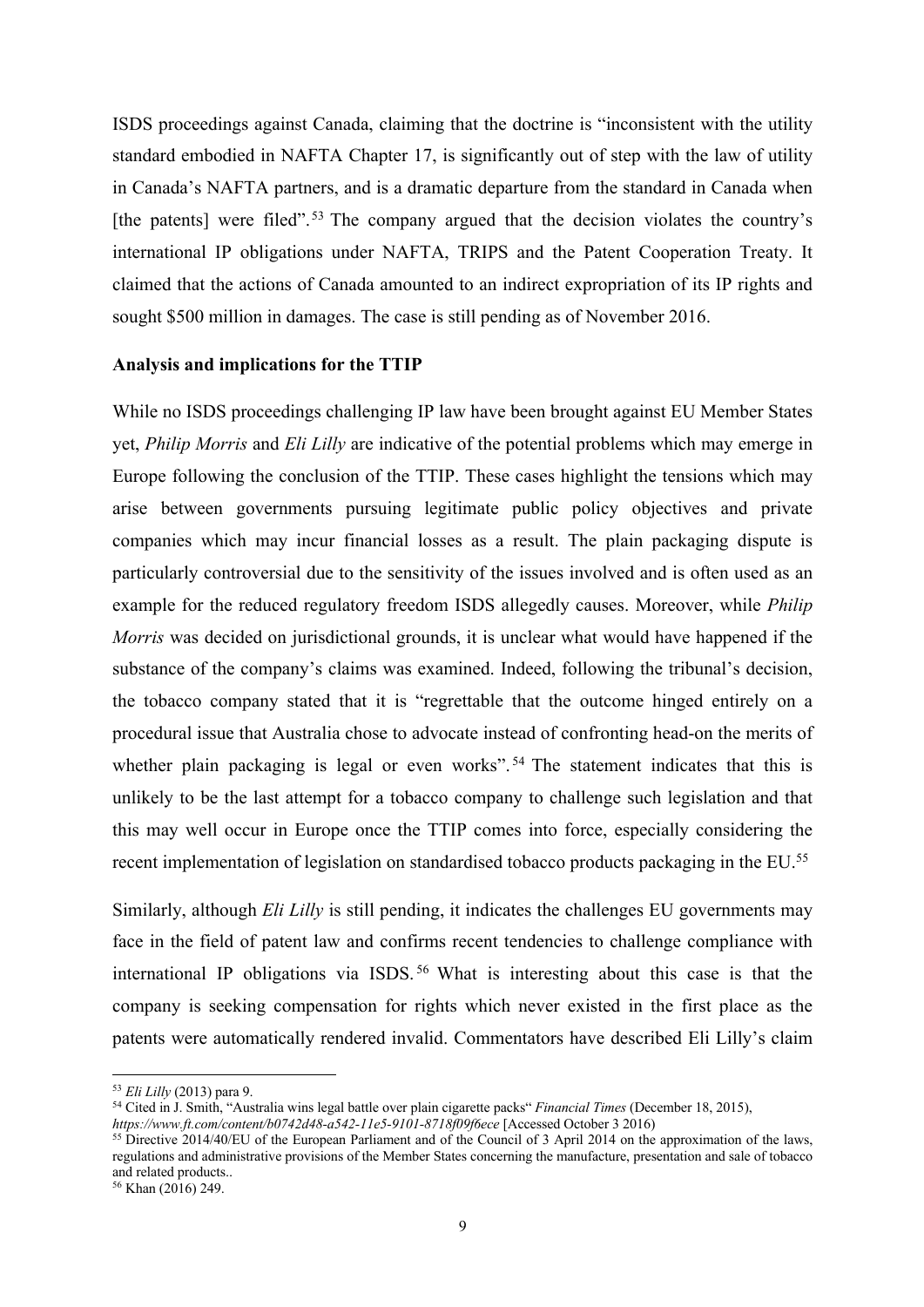ISDS proceedings against Canada, claiming that the doctrine is "inconsistent with the utility standard embodied in NAFTA Chapter 17, is significantly out of step with the law of utility in Canada's NAFTA partners, and is a dramatic departure from the standard in Canada when [the patents] were filed".<sup>53</sup> The company argued that the decision violates the country's international IP obligations under NAFTA, TRIPS and the Patent Cooperation Treaty. It claimed that the actions of Canada amounted to an indirect expropriation of its IP rights and sought \$500 million in damages. The case is still pending as of November 2016.

#### **Analysis and implications for the TTIP**

While no ISDS proceedings challenging IP law have been brought against EU Member States yet, *Philip Morris* and *Eli Lilly* are indicative of the potential problems which may emerge in Europe following the conclusion of the TTIP. These cases highlight the tensions which may arise between governments pursuing legitimate public policy objectives and private companies which may incur financial losses as a result. The plain packaging dispute is particularly controversial due to the sensitivity of the issues involved and is often used as an example for the reduced regulatory freedom ISDS allegedly causes. Moreover, while *Philip Morris* was decided on jurisdictional grounds, it is unclear what would have happened if the substance of the company's claims was examined. Indeed, following the tribunal's decision, the tobacco company stated that it is "regrettable that the outcome hinged entirely on a procedural issue that Australia chose to advocate instead of confronting head-on the merits of whether plain packaging is legal or even works".<sup>54</sup> The statement indicates that this is unlikely to be the last attempt for a tobacco company to challenge such legislation and that this may well occur in Europe once the TTIP comes into force, especially considering the recent implementation of legislation on standardised tobacco products packaging in the EU.55

Similarly, although *Eli Lilly* is still pending, it indicates the challenges EU governments may face in the field of patent law and confirms recent tendencies to challenge compliance with international IP obligations via ISDS. <sup>56</sup> What is interesting about this case is that the company is seeking compensation for rights which never existed in the first place as the patents were automatically rendered invalid. Commentators have described Eli Lilly's claim

<sup>53</sup> *Eli Lilly* (2013) para 9.

<sup>54</sup> Cited in J. Smith, "Australia wins legal battle over plain cigarette packs" *Financial Times* (December 18, 2015), *https://www.ft.com/content/b0742d48-a542-11e5-9101-8718f09f6ece* [Accessed October 3 2016)

<sup>&</sup>lt;sup>55</sup> Directive 2014/40/EU of the European Parliament and of the Council of 3 April 2014 on the approximation of the laws, regulations and administrative provisions of the Member States concerning the manufacture, presentation and sale of tobacco and related products..

<sup>56</sup> Khan (2016) 249.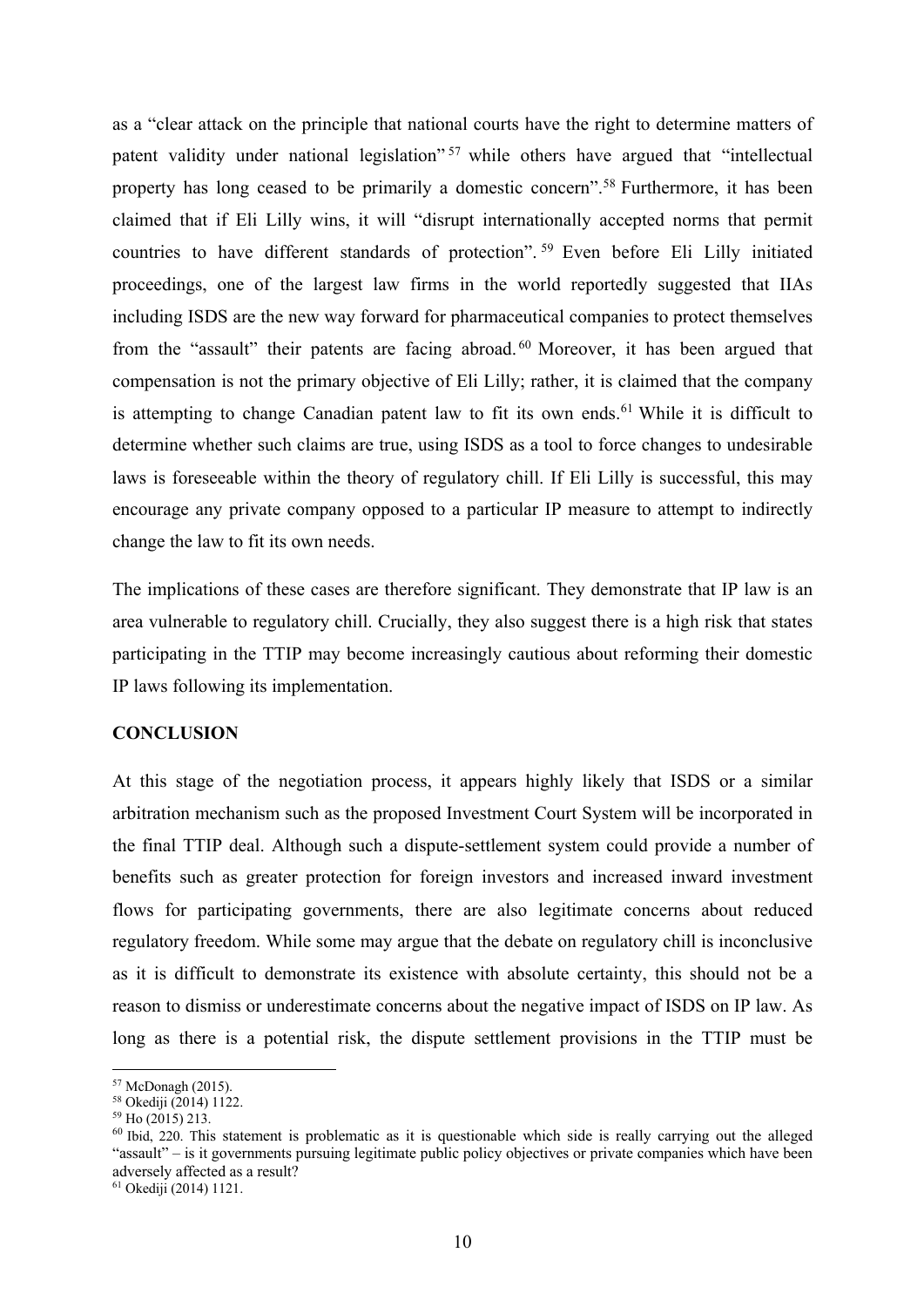as a "clear attack on the principle that national courts have the right to determine matters of patent validity under national legislation"<sup>57</sup> while others have argued that "intellectual property has long ceased to be primarily a domestic concern".58 Furthermore, it has been claimed that if Eli Lilly wins, it will "disrupt internationally accepted norms that permit countries to have different standards of protection". <sup>59</sup> Even before Eli Lilly initiated proceedings, one of the largest law firms in the world reportedly suggested that IIAs including ISDS are the new way forward for pharmaceutical companies to protect themselves from the "assault" their patents are facing abroad. <sup>60</sup> Moreover, it has been argued that compensation is not the primary objective of Eli Lilly; rather, it is claimed that the company is attempting to change Canadian patent law to fit its own ends.<sup>61</sup> While it is difficult to determine whether such claims are true, using ISDS as a tool to force changes to undesirable laws is foreseeable within the theory of regulatory chill. If Eli Lilly is successful, this may encourage any private company opposed to a particular IP measure to attempt to indirectly change the law to fit its own needs.

The implications of these cases are therefore significant. They demonstrate that IP law is an area vulnerable to regulatory chill. Crucially, they also suggest there is a high risk that states participating in the TTIP may become increasingly cautious about reforming their domestic IP laws following its implementation.

#### **CONCLUSION**

At this stage of the negotiation process, it appears highly likely that ISDS or a similar arbitration mechanism such as the proposed Investment Court System will be incorporated in the final TTIP deal. Although such a dispute-settlement system could provide a number of benefits such as greater protection for foreign investors and increased inward investment flows for participating governments, there are also legitimate concerns about reduced regulatory freedom. While some may argue that the debate on regulatory chill is inconclusive as it is difficult to demonstrate its existence with absolute certainty, this should not be a reason to dismiss or underestimate concerns about the negative impact of ISDS on IP law. As long as there is a potential risk, the dispute settlement provisions in the TTIP must be

<sup>57</sup> McDonagh (2015).

<sup>58</sup> Okediji (2014) 1122.

 $59$  Ho (2015) 213.

<sup>&</sup>lt;sup>60</sup> Ibid, 220. This statement is problematic as it is questionable which side is really carrying out the alleged "assault" – is it governments pursuing legitimate public policy objectives or private companies which have been adversely affected as a result?

<sup>61</sup> Okediji (2014) 1121.